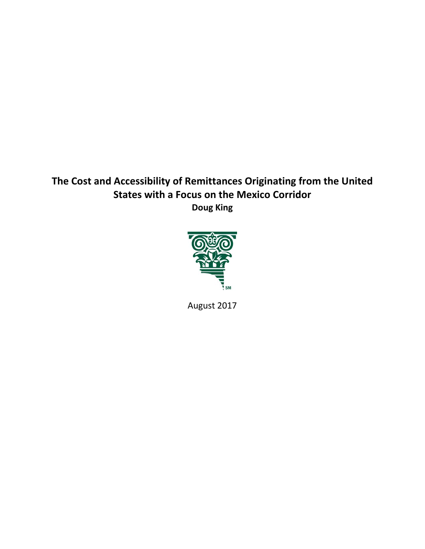# **The Cost and Accessibility of Remittances Originating from the United States with a Focus on the Mexico Corridor Doug King**



August 2017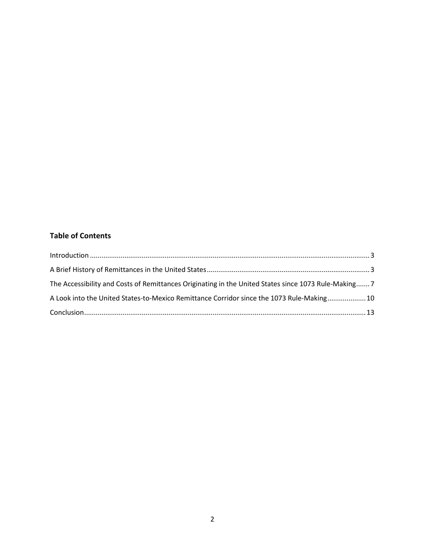## **Table of Contents**

| The Accessibility and Costs of Remittances Originating in the United States since 1073 Rule-Making 7 |  |
|------------------------------------------------------------------------------------------------------|--|
| A Look into the United States-to-Mexico Remittance Corridor since the 1073 Rule-Making 10            |  |
|                                                                                                      |  |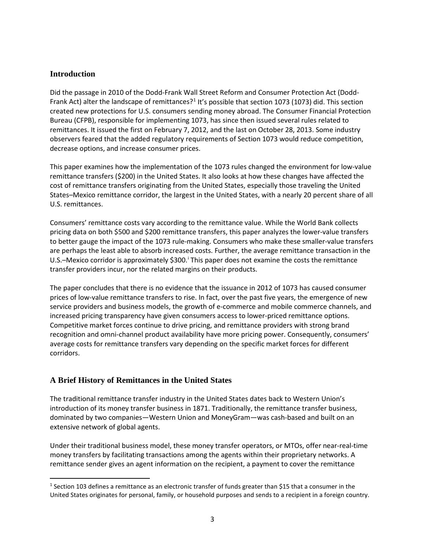## <span id="page-2-0"></span>**Introduction**

Did the passage in 2010 of the Dodd-Frank Wall Street Reform and Consumer Protection Act (Dodd-Frank Act) alter the landscape of remittances?<sup>[1](#page-2-2)</sup> It's possible that section 1073 (1073) did. This section created new protections for U.S. consumers sending money abroad. The Consumer Financial Protection Bureau (CFPB), responsible for implementing 1073, has since then issued several rules related to remittances. It issued the first on February 7, 2012, and the last on October 28, 2013. Some industry observers feared that the added regulatory requirements of Section 1073 would reduce competition, decrease options, and increase consumer prices.

This paper examines how the implementation of the 1073 rules changed the environment for low-value remittance transfers (\$200) in the United States. It also looks at how these changes have affected the cost of remittance transfers originating from the United States, especially those traveling the United States–Mexico remittance corridor, the largest in the United States, with a nearly 20 percent share of all U.S. remittances.

Consumers' remittance costs vary according to the remittance value. While the World Bank collects pricing data on both \$500 and \$200 remittance transfers, this paper analyzes the lower-value transfers to better gauge the impact of the 1073 rule-making. Consumers who make these smaller-value transfers are perhaps the least able to absorb increased costs. Further, the average remittance transaction in the U.S.–Mex[i](#page-12-1)co corridor is approximately \$300. This paper does not examine the costs the remittance transfer providers incur, nor the related margins on their products.

The paper concludes that there is no evidence that the issuance in 2012 of 1073 has caused consumer prices of low-value remittance transfers to rise. In fact, over the past five years, the emergence of new service providers and business models, the growth of e-commerce and mobile commerce channels, and increased pricing transparency have given consumers access to lower-priced remittance options. Competitive market forces continue to drive pricing, and remittance providers with strong brand recognition and omni-channel product availability have more pricing power. Consequently, consumers' average costs for remittance transfers vary depending on the specific market forces for different corridors.

## <span id="page-2-1"></span>**A Brief History of Remittances in the United States**

The traditional remittance transfer industry in the United States dates back to Western Union's introduction of its money transfer business in 1871. Traditionally, the remittance transfer business, dominated by two companies—Western Union and MoneyGram—was cash-based and built on an extensive network of global agents.

Under their traditional business model, these money transfer operators, or MTOs, offer near-real-time money transfers by facilitating transactions among the agents within their proprietary networks. A remittance sender gives an agent information on the recipient, a payment to cover the remittance

<span id="page-2-2"></span><sup>&</sup>lt;sup>1</sup> Section 103 defines a remittance as an electronic transfer of funds greater than \$15 that a consumer in the United States originates for personal, family, or household purposes and sends to a recipient in a foreign country.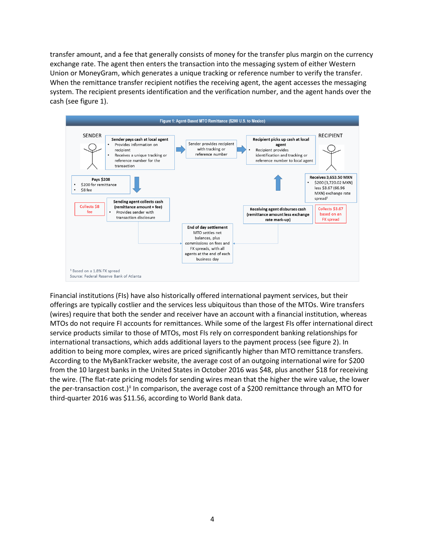transfer amount, and a fee that generally consists of money for the transfer plus margin on the currency exchange rate. The agent then enters the transaction into the messaging system of either Western Union or MoneyGram, which generates a unique tracking or reference number to verify the transfer. When the remittance transfer recipient notifies the receiving agent, the agent accesses the messaging system. The recipient presents identification and the verification number, and the agent hands over the cash (see figure 1).



Financial institutions (FIs) have also historically offered international payment services, but their offerings are typically costlier and the services less ubiquitous than those of the MTOs. Wire transfers (wires) require that both the sender and receiver have an account with a financial institution, whereas MTOs do not require FI accounts for remittances. While some of the largest FIs offer international direct service products similar to those of MTOs, most FIs rely on correspondent banking relationships for international transactions, which adds additional layers to the payment process (see figure 2). In addition to being more complex, wires are priced significantly higher than MTO remittance transfers. According to the MyBankTracker website, the average cost of an outgoing international wire for \$200 from the 10 largest banks in the United States in October 2016 was \$48, plus another \$18 for receiving the wire. (The flat-rate pricing models for sending wires mean that the higher the wire value, the lower the per-transaction cost.)<sup>[ii](#page-13-0)</sup> In comparison, the average cost of a \$200 remittance through an MTO for third-quarter 2016 was \$11.56, according to World Bank data.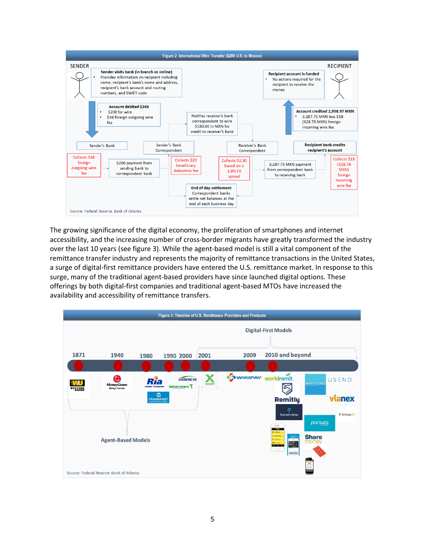

The growing significance of the digital economy, the proliferation of smartphones and internet accessibility, and the increasing number of cross-border migrants have greatly transformed the industry over the last 10 years (see figure 3). While the agent-based model is still a vital component of the remittance transfer industry and represents the majority of remittance transactions in the United States, a surge of digital-first remittance providers have entered the U.S. remittance market. In response to this surge, many of the traditional agent-based providers have since launched digital options. These offerings by both digital-first companies and traditional agent-based MTOs have increased the availability and accessibility of remittance transfers.

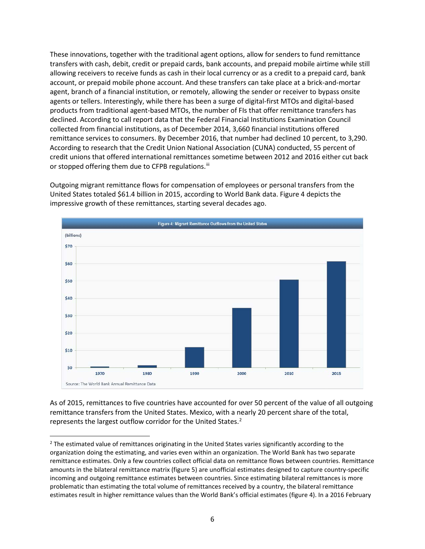These innovations, together with the traditional agent options, allow for senders to fund remittance transfers with cash, debit, credit or prepaid cards, bank accounts, and prepaid mobile airtime while still allowing receivers to receive funds as cash in their local currency or as a credit to a prepaid card, bank account, or prepaid mobile phone account. And these transfers can take place at a brick-and-mortar agent, branch of a financial institution, or remotely, allowing the sender or receiver to bypass onsite agents or tellers. Interestingly, while there has been a surge of digital-first MTOs and digital-based products from traditional agent-based MTOs, the number of FIs that offer remittance transfers has declined. According to call report data that the Federal Financial Institutions Examination Council collected from financial institutions, as of December 2014, 3,660 financial institutions offered remittance services to consumers. By December 2016, that number had declined 10 percent, to 3,290. According to research that the Credit Union National Association (CUNA) conducted, 55 percent of credit unions that offered international remittances sometime between 2012 and 2016 either cut back or stopped offering them due to CFPB regulations.<sup>[iii](#page-13-1)</sup>

Outgoing migrant remittance flows for compensation of employees or personal transfers from the United States totaled \$61.4 billion in 2015, according to World Bank data. Figure 4 depicts the impressive growth of these remittances, starting several decades ago.



As of 2015, remittances to five countries have accounted for over 50 percent of the value of all outgoing remittance transfers from the United States. Mexico, with a nearly 20 percent share of the total, represents the largest outflow corridor for the United States.<sup>[2](#page-5-0)</sup>

<span id="page-5-0"></span><sup>&</sup>lt;sup>2</sup> The estimated value of remittances originating in the United States varies significantly according to the organization doing the estimating, and varies even within an organization. The World Bank has two separate remittance estimates. Only a few countries collect official data on remittance flows between countries. Remittance amounts in the bilateral remittance matrix (figure 5) are unofficial estimates designed to capture country-specific incoming and outgoing remittance estimates between countries. Since estimating bilateral remittances is more problematic than estimating the total volume of remittances received by a country, the bilateral remittance estimates result in higher remittance values than the World Bank's official estimates (figure 4). In a 2016 February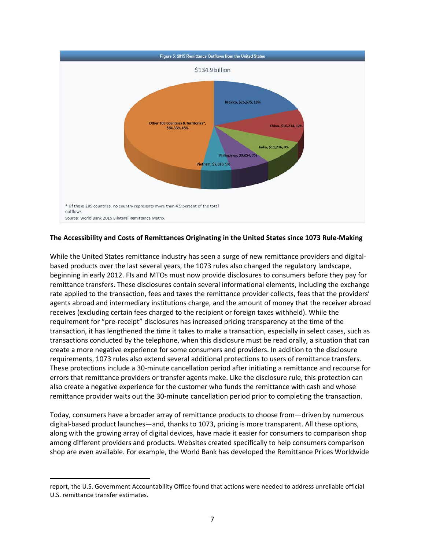

### <span id="page-6-0"></span>**The Accessibility and Costs of Remittances Originating in the United States since 1073 Rule-Making**

While the United States remittance industry has seen a surge of new remittance providers and digitalbased products over the last several years, the 1073 rules also changed the regulatory landscape, beginning in early 2012. FIs and MTOs must now provide disclosures to consumers before they pay for remittance transfers. These disclosures contain several informational elements, including the exchange rate applied to the transaction, fees and taxes the remittance provider collects, fees that the providers' agents abroad and intermediary institutions charge, and the amount of money that the receiver abroad receives (excluding certain fees charged to the recipient or foreign taxes withheld). While the requirement for "pre-receipt" disclosures has increased pricing transparency at the time of the transaction, it has lengthened the time it takes to make a transaction, especially in select cases, such as transactions conducted by the telephone, when this disclosure must be read orally, a situation that can create a more negative experience for some consumers and providers. In addition to the disclosure requirements, 1073 rules also extend several additional protections to users of remittance transfers. These protections include a 30-minute cancellation period after initiating a remittance and recourse for errors that remittance providers or transfer agents make. Like the disclosure rule, this protection can also create a negative experience for the customer who funds the remittance with cash and whose remittance provider waits out the 30-minute cancellation period prior to completing the transaction.

Today, consumers have a broader array of remittance products to choose from—driven by numerous digital-based product launches—and, thanks to 1073, pricing is more transparent. All these options, along with the growing array of digital devices, have made it easier for consumers to comparison shop among different providers and products. Websites created specifically to help consumers comparison shop are even available. For example, the World Bank has developed the Remittance Prices Worldwide

 $\overline{\phantom{a}}$ 

report, the U.S. Government Accountability Office found that actions were needed to address unreliable official U.S. remittance transfer estimates.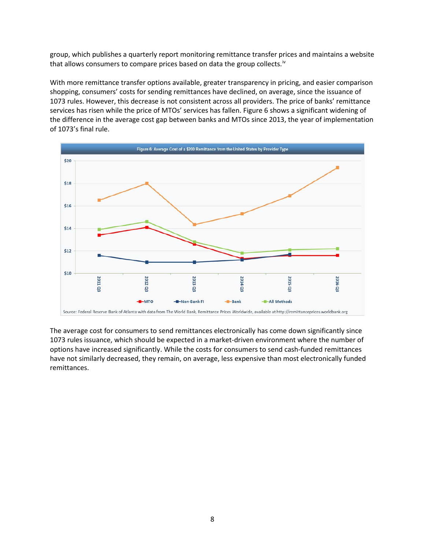group, which publishes a quarterly report monitoring remittance transfer prices and maintains a website that allows consumers to compare prices based on data the group collects.<sup>[iv](#page-13-2)</sup>

With more remittance transfer options available, greater transparency in pricing, and easier comparison shopping, consumers' costs for sending remittances have declined, on average, since the issuance of 1073 rules. However, this decrease is not consistent across all providers. The price of banks' remittance services has risen while the price of MTOs' services has fallen. Figure 6 shows a significant widening of the difference in the average cost gap between banks and MTOs since 2013, the year of implementation of 1073's final rule.



The average cost for consumers to send remittances electronically has come down significantly since 1073 rules issuance, which should be expected in a market-driven environment where the number of options have increased significantly. While the costs for consumers to send cash-funded remittances have not similarly decreased, they remain, on average, less expensive than most electronically funded remittances.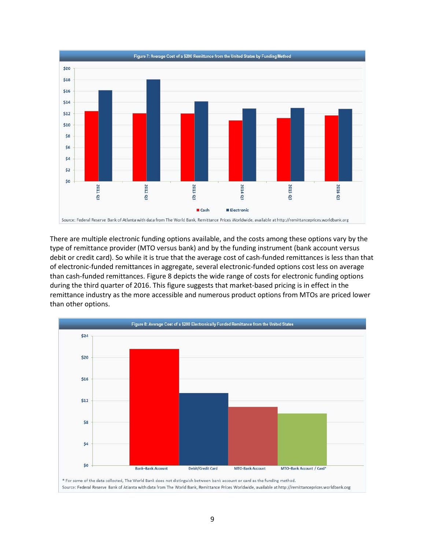

There are multiple electronic funding options available, and the costs among these options vary by the type of remittance provider (MTO versus bank) and by the funding instrument (bank account versus debit or credit card). So while it is true that the average cost of cash-funded remittances is less than that of electronic-funded remittances in aggregate, several electronic-funded options cost less on average than cash-funded remittances. Figure 8 depicts the wide range of costs for electronic funding options during the third quarter of 2016. This figure suggests that market-based pricing is in effect in the remittance industry as the more accessible and numerous product options from MTOs are priced lower than other options.

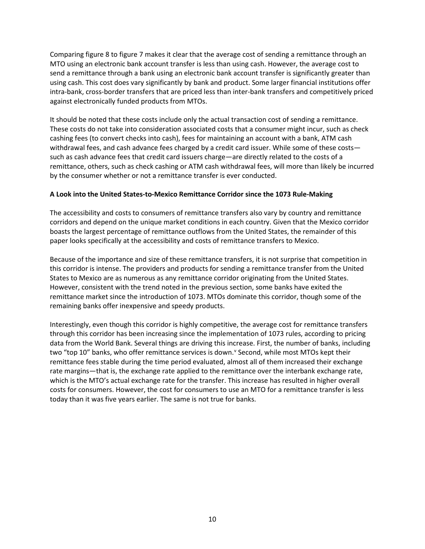Comparing figure 8 to figure 7 makes it clear that the average cost of sending a remittance through an MTO using an electronic bank account transfer is less than using cash. However, the average cost to send a remittance through a bank using an electronic bank account transfer is significantly greater than using cash. This cost does vary significantly by bank and product. Some larger financial institutions offer intra-bank, cross-border transfers that are priced less than inter-bank transfers and competitively priced against electronically funded products from MTOs.

It should be noted that these costs include only the actual transaction cost of sending a remittance. These costs do not take into consideration associated costs that a consumer might incur, such as check cashing fees (to convert checks into cash), fees for maintaining an account with a bank, ATM cash withdrawal fees, and cash advance fees charged by a credit card issuer. While some of these costs such as cash advance fees that credit card issuers charge—are directly related to the costs of a remittance, others, such as check cashing or ATM cash withdrawal fees, will more than likely be incurred by the consumer whether or not a remittance transfer is ever conducted.

### <span id="page-9-0"></span>**A Look into the United States-to-Mexico Remittance Corridor since the 1073 Rule-Making**

The accessibility and costs to consumers of remittance transfers also vary by country and remittance corridors and depend on the unique market conditions in each country. Given that the Mexico corridor boasts the largest percentage of remittance outflows from the United States, the remainder of this paper looks specifically at the accessibility and costs of remittance transfers to Mexico.

Because of the importance and size of these remittance transfers, it is not surprise that competition in this corridor is intense. The providers and products for sending a remittance transfer from the United States to Mexico are as numerous as any remittance corridor originating from the United States. However, consistent with the trend noted in the previous section, some banks have exited the remittance market since the introduction of 1073. MTOs dominate this corridor, though some of the remaining banks offer inexpensive and speedy products.

Interestingly, even though this corridor is highly competitive, the average cost for remittance transfers through this corridor has been increasing since the implementation of 1073 rules, according to pricing data from the World Bank. Several things are driving this increase. First, the number of banks, including two "top 10" banks, who offer remittance services is down." Second, while most MTOs kept their remittance fees stable during the time period evaluated, almost all of them increased their exchange rate margins—that is, the exchange rate applied to the remittance over the interbank exchange rate, which is the MTO's actual exchange rate for the transfer. This increase has resulted in higher overall costs for consumers. However, the cost for consumers to use an MTO for a remittance transfer is less today than it was five years earlier. The same is not true for banks.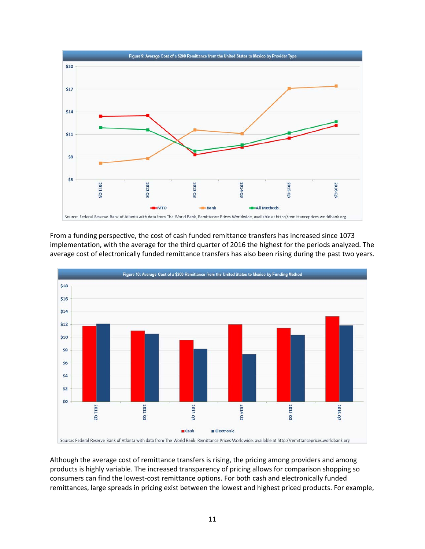

From a funding perspective, the cost of cash funded remittance transfers has increased since 1073 implementation, with the average for the third quarter of 2016 the highest for the periods analyzed. The average cost of electronically funded remittance transfers has also been rising during the past two years.



Although the average cost of remittance transfers is rising, the pricing among providers and among products is highly variable. The increased transparency of pricing allows for comparison shopping so consumers can find the lowest-cost remittance options. For both cash and electronically funded remittances, large spreads in pricing exist between the lowest and highest priced products. For example,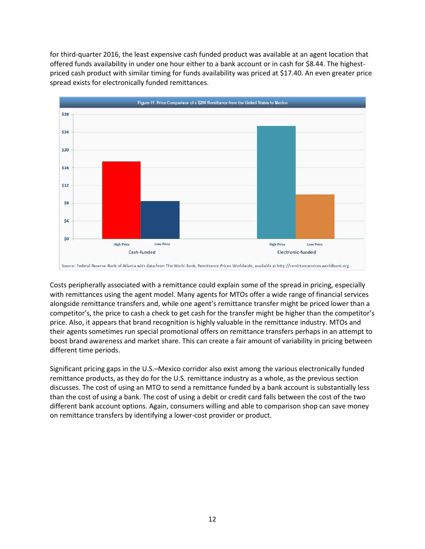for third-quarter 2016, the least expensive cash funded product was available at an agent location that offered funds availability in under one hour either to a bank account or in cash for \$8.44. The highestpriced cash product with similar timing for funds availability was priced at \$17.40. An even greater price spread exists for electronically funded remittances.



Costs peripherally associated with a remittance could explain some of the spread in pricing, especially with remittances using the agent model. Many agents for MTOs offer a wide range of financial services alongside remittance transfers and, while one agent's remittance transfer might be priced lower than a competitor's, the price to cash a check to get cash for the transfer might be higher than the competitor's price. Also, it appears that brand recognition is highly valuable in the remittance industry. MTOs and their agents sometimes run special promotional offers on remittance transfers perhaps in an attempt to boost brand awareness and market share. This can create a fair amount of variability in pricing between different time periods.

Significant pricing gaps in the U.S.–Mexico corridor also exist among the various electronically funded remittance products, as they do for the U.S. remittance industry as a whole, as the previous section discusses. The cost of using an MTO to send a remittance funded by a bank account is substantially less than the cost of using a bank. The cost of using a debit or credit card falls between the cost of the two different bank account options. Again, consumers willing and able to comparison shop can save money on remittance transfers by identifying a lower-cost provider or product.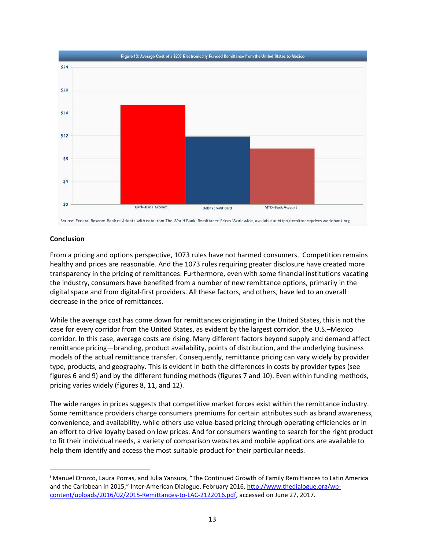

### <span id="page-12-0"></span>**Conclusion**

 $\overline{a}$ 

From a pricing and options perspective, 1073 rules have not harmed consumers. Competition remains healthy and prices are reasonable. And the 1073 rules requiring greater disclosure have created more transparency in the pricing of remittances. Furthermore, even with some financial institutions vacating the industry, consumers have benefited from a number of new remittance options, primarily in the digital space and from digital-first providers. All these factors, and others, have led to an overall decrease in the price of remittances.

While the average cost has come down for remittances originating in the United States, this is not the case for every corridor from the United States, as evident by the largest corridor, the U.S.–Mexico corridor. In this case, average costs are rising. Many different factors beyond supply and demand affect remittance pricing—branding, product availability, points of distribution, and the underlying business models of the actual remittance transfer. Consequently, remittance pricing can vary widely by provider type, products, and geography. This is evident in both the differences in costs by provider types (see figures 6 and 9) and by the different funding methods (figures 7 and 10). Even within funding methods, pricing varies widely (figures 8, 11, and 12).

The wide ranges in prices suggests that competitive market forces exist within the remittance industry. Some remittance providers charge consumers premiums for certain attributes such as brand awareness, convenience, and availability, while others use value-based pricing through operating efficiencies or in an effort to drive loyalty based on low prices. And for consumers wanting to search for the right product to fit their individual needs, a variety of comparison websites and mobile applications are available to help them identify and access the most suitable product for their particular needs.

<span id="page-12-1"></span><sup>i</sup> Manuel Orozco, Laura Porras, and Julia Yansura, "The Continued Growth of Family Remittances to Latin America and the Caribbean in 2015," Inter-American Dialogue, February 2016, [http://www.thedialogue.org/wp](http://www.thedialogue.org/wp-content/uploads/2016/02/2015-Remittances-to-LAC-2122016.pdf)[content/uploads/2016/02/2015-Remittances-to-LAC-2122016.pdf,](http://www.thedialogue.org/wp-content/uploads/2016/02/2015-Remittances-to-LAC-2122016.pdf) accessed on June 27, 2017.